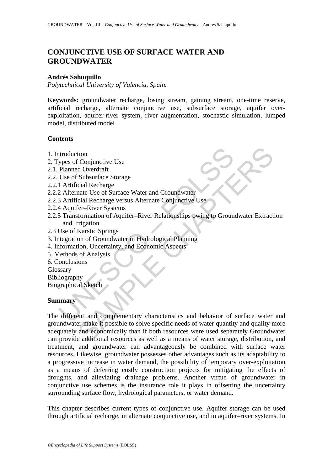# **CONJUNCTIVE USE OF SURFACE WATER AND GROUNDWATER**

#### **Andrés Sahuquillo**

*Polytechnical University of Valencia, Spain.* 

**Keywords:** groundwater recharge, losing stream, gaining stream, one-time reserve, artificial recharge, alternate conjunctive use, subsurface storage, aquifer overexploitation, aquifer-river system, river augmentation, stochastic simulation, lumped model, distributed model

### **Contents**

- 1. Introduction
- 2. Types of Conjunctive Use
- 2.1. Planned Overdraft
- 2.2. Use of Subsurface Storage
- 2.2.1 Artificial Recharge
- 2.2.2 Alternate Use of Surface Water and Groundwater
- 2.2.3 Artificial Recharge versus Alternate Conjunctive Use
- 2.2.4 Aquifer–River Systems
- ntroduction<br>
ypes of Conjunctive Use<br>
Planned Overdraft<br>
Use of Subsurface Storage<br>
1 Artificial Recharge<br>
3 Artificial Recharge<br>
3 Artificial Recharge versus Alternate Conjunctive Use<br>
4 Aquifer–River Systems<br>
5 Transform 2.2.5 Transformation of Aquifer–River Relationships owing to Groundwater Extraction and Irrigation
- 2.3 Use of Karstic Springs
- 3. Integration of Groundwater in Hydrological Planning
- 4. Information, Uncertainty, and Economic Aspects
- 5. Methods of Analysis
- 6. Conclusions
- Glossary
- Bibliography

Biographical Sketch

#### **Summary**

tion<br>
is Conjunctive Use<br>
Shobsurface<br>
Schostrafe<br>
Cial Recharge<br>
Cial Recharge<br>
Cial Recharge<br>
Cial Recharge<br>
Cial Recharge<br>
Cial Recharge<br>
Schosens Alternate Conjunctive Use<br>
Schost School Aquifer–River Relationships owi The different and complementary characteristics and behavior of surface water and groundwater make it possible to solve specific needs of water quantity and quality more adequately and economically than if both resources were used separately Groundwater can provide additional resources as well as a means of water storage, distribution, and treatment, and groundwater can advantageously be combined with surface water resources. Likewise, groundwater possesses other advantages such as its adaptability to a progressive increase in water demand, the possibility of temporary over-exploitation as a means of deferring costly construction projects for mitigating the effects of droughts, and alleviating drainage problems. Another virtue of groundwater in conjunctive use schemes is the insurance role it plays in offsetting the uncertainty surrounding surface flow, hydrological parameters, or water demand.

This chapter describes current types of conjunctive use. Aquifer storage can be used through artificial recharge, in alternate conjunctive use, and in aquifer–river systems. In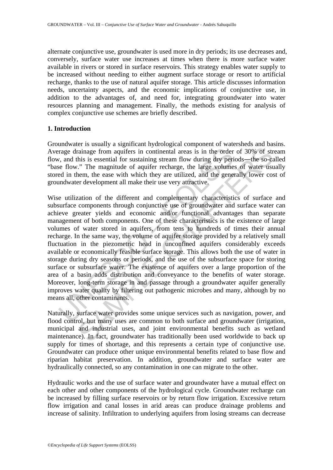alternate conjunctive use, groundwater is used more in dry periods; its use decreases and, conversely, surface water use increases at times when there is more surface water available in rivers or stored in surface reservoirs. This strategy enables water supply to be increased without needing to either augment surface storage or resort to artificial recharge, thanks to the use of natural aquifer storage. This article discusses information needs, uncertainty aspects, and the economic implications of conjunctive use, in addition to the advantages of, and need for, integrating groundwater into water resources planning and management. Finally, the methods existing for analysis of complex conjunctive use schemes are briefly described.

### **1. Introduction**

Groundwater is usually a significant hydrological component of watersheds and basins. Average drainage from aquifers in continental areas is in the order of 30% of stream flow, and this is essential for sustaining stream flow during dry periods—the so-called "base flow." The magnitude of aquifer recharge, the large volumes of water usually stored in them, the ease with which they are utilized, and the generally lower cost of groundwater development all make their use very attractive.

rage drainage from aquifers in continental areas is in the order<br> *i*, and this is essential for sustaining stream flow during dry peri<br>
e flow." The magnitude of aquifer recharge, the large volume<br>
ed in them, the ease wi rainage from aquifers in continental areas is in the order of 30% of strainage from aquifers in continental areas is in the order of 30% of straining stessential for sustaining stream flow during dry periods—the so-ca." Th Wise utilization of the different and complementary characteristics of surface and subsurface components through conjunctive use of groundwater and surface water can achieve greater yields and economic and/or functional advantages than separate management of both components. One of these characteristics is the existence of large volumes of water stored in aquifers, from tens to hundreds of times their annual recharge. In the same way, the volume of aquifer storage provided by a relatively small fluctuation in the piezometric head in unconfined aquifers considerably exceeds available or economically feasible surface storage. This allows both the use of water in storage during dry seasons or periods, and the use of the subsurface space for storing surface or subsurface water. The existence of aquifers over a large proportion of the area of a basin adds distribution and conveyance to the benefits of water storage. Moreover, long-term storage in and passage through a groundwater aquifer generally improves water quality by filtering out pathogenic microbes and many, although by no means all, other contaminants.

Naturally, surface water provides some unique services such as navigation, power, and flood control, but many uses are common to both surface and groundwater (irrigation, municipal and industrial uses, and joint environmental benefits such as wetland maintenance). In fact, groundwater has traditionally been used worldwide to back up supply for times of shortage, and this represents a certain type of conjunctive use. Groundwater can produce other unique environmental benefits related to base flow and riparian habitat preservation. In addition, groundwater and surface water are hydraulically connected, so any contamination in one can migrate to the other.

Hydraulic works and the use of surface water and groundwater have a mutual effect on each other and other components of the hydrological cycle. Groundwater recharge can be increased by filling surface reservoirs or by return flow irrigation. Excessive return flow irrigation and canal losses in arid areas can produce drainage problems and increase of salinity. Infiltration to underlying aquifers from losing streams can decrease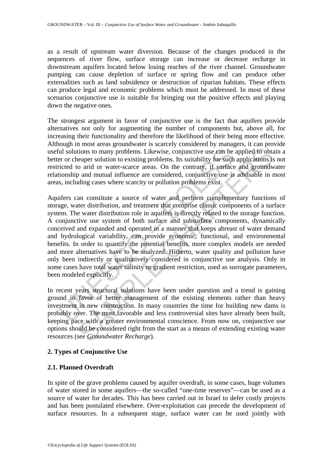as a result of upstream water diversion. Because of the changes produced in the sequences of river flow, surface storage can increase or decrease recharge in downstream aquifers located below losing reaches of the river channel. Groundwater pumping can cause depletion of surface or spring flow and can produce other externalities such as land subsidence or destruction of riparian habitats. These effects can produce legal and economic problems which must be addressed. In most of these scenarios conjunctive use is suitable for bringing out the positive effects and playing down the negative ones.

The strongest argument in favor of conjunctive use is the fact that aquifers provide alternatives not only for augmenting the number of components but, above all, for increasing their functionality and therefore the likelihood of their being more effective. Although in most areas groundwater is scarcely considered by managers, it can provide useful solutions to many problems. Likewise, conjunctive use can be applied to obtain a better or cheaper solution to existing problems. Its suitability for such applications is not restricted to arid or water-scarce areas. On the contrary, if surface and groundwater relationship and mutual influence are considered, conjunctive use is advisable in most areas, including cases where scarcity or pollution problems exist.

In solutions to many problems. Likewise, conjunctive use can be<br>er or cheaper solution to existing problems. Its suitability for such<br>ricted to arid or water-scarce areas. On the contrary, if surface<br>tionship and mutual in tions to many problems. Likewise, conjunctive use can be applied to obtacaper solution to existing problems. Its suitability for such applications is on and or water-scare areas. On the contrary, if suffice and groundwise Aquifers can constitute a source of water and perform complementary functions of storage, water distribution, and treatment that comprise classic components of a surface system. The water distribution role in aquifers is directly related to the storage function. A conjunctive use system of both surface and subsurface components, dynamically conceived and expanded and operated in a manner that keeps abreast of water demand and hydrological variability, can provide economic, functional, and environmental benefits. In order to quantify the potential benefits, more complex models are needed and more alternatives have to be analyzed. Hitherto, water quality and pollution have only been indirectly or qualitatively considered in conjunctive use analysis. Only in some cases have total water salinity or gradient restriction, used as surrogate parameters, been modeled explicitly.

In recent years structural solutions have been under question and a trend is gaining ground in favor of better management of the existing elements rather than heavy investment in new construction. In many countries the time for building new dams is probably over. The most favorable and less controversial sites have already been built, keeping pace with a greater environmental conscience. From now on, conjunctive use options should be considered right from the start as a means of extending existing water resources (see *Groundwater Recharge*).

### **2. Types of Conjunctive Use**

### **2.1. Planned Overdraft**

In spite of the grave problems caused by aquifer overdraft, in some cases, huge volumes of water stored in some aquifers––the so-called "one-time reserves"––can be used as a source of water for decades. This has been carried out in Israel to defer costly projects and has been postulated elsewhere. Over-exploitation can precede the development of surface resources. In a subsequent stage, surface water can be used jointly with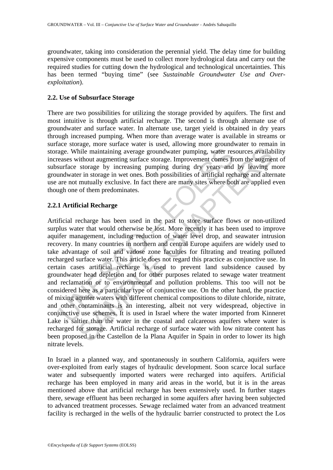groundwater, taking into consideration the perennial yield. The delay time for building expensive components must be used to collect more hydrological data and carry out the required studies for cutting down the hydrological and technological uncertainties. This has been termed "buying time" (see *Sustainable Groundwater Use and Overexploitation*).

## **2.2. Use of Subsurface Storage**

There are two possibilities for utilizing the storage provided by aquifers. The first and most intuitive is through artificial recharge. The second is through alternate use of groundwater and surface water. In alternate use, target yield is obtained in dry years through increased pumping. When more than average water is available in streams or surface storage, more surface water is used, allowing more groundwater to remain in storage. While maintaining average groundwater pumping, water resources availability increases without augmenting surface storage. Improvement comes from the augment of subsurface storage by increasing pumping during dry years and by leaving more groundwater in storage in wet ones. Both possibilities of artificial recharge and alternate use are not mutually exclusive. In fact there are many sites where both are applied even though one of them predominates.

# **2.2.1 Artificial Recharge**

age. While maintaining average groundwater pumping, water reseases without augmenting surface storage. Improvement comes fr<br>surface storage by increasing pumping during dry years and<br>mdwater in storage in wet ones. Both po The maintaining average groundwater pumping, water resources available maintaining surface storage. Improvement comes from the augment storage by increasing pumping during dry years and by leaving in terms and the maturall Artificial recharge has been used in the past to store surface flows or non-utilized surplus water that would otherwise be lost. More recently it has been used to improve aquifer management, including reduction of water level drop, and seawater intrusion recovery. In many countries in northern and central Europe aquifers are widely used to take advantage of soil and vadose zone faculties for filtrating and treating polluted recharged surface water. This article does not regard this practice as conjunctive use. In certain cases artificial recharge is used to prevent land subsidence caused by groundwater head depletion and for other purposes related to sewage water treatment and reclamation or to environmental and pollution problems. This too will not be considered here as a particular type of conjunctive use. On the other hand, the practice of mixing aquifer waters with different chemical compositions to dilute chloride, nitrate, and other contaminants is an interesting, albeit not very widespread, objective in conjunctive use schemes. It is used in Israel where the water imported from Kinneret Lake is saltier than the water in the coastal and calcareous aquifers where water is recharged for storage. Artificial recharge of surface water with low nitrate content has been proposed in the Castellon de la Plana Aquifer in Spain in order to lower its high nitrate levels.

In Israel in a planned way, and spontaneously in southern California, aquifers were over-exploited from early stages of hydraulic development. Soon scarce local surface water and subsequently imported waters were recharged into aquifers. Artificial recharge has been employed in many arid areas in the world, but it is in the areas mentioned above that artificial recharge has been extensively used. In further stages there, sewage effluent has been recharged in some aquifers after having been subjected to advanced treatment processes. Sewage reclaimed water from an advanced treatment facility is recharged in the wells of the hydraulic barrier constructed to protect the Los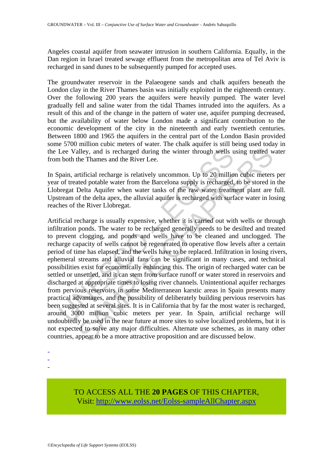Angeles coastal aquifer from seawater intrusion in southern California. Equally, in the Dan region in Israel treated sewage effluent from the metropolitan area of Tel Aviv is recharged in sand dunes to be subsequently pumped for accepted uses.

The groundwater reservoir in the Palaeogene sands and chalk aquifers beneath the London clay in the River Thames basin was initially exploited in the eighteenth century. Over the following 200 years the aquifers were heavily pumped. The water level gradually fell and saline water from the tidal Thames intruded into the aquifers. As a result of this and of the change in the pattern of water use, aquifer pumping decreased, but the availability of water below London made a significant contribution to the economic development of the city in the nineteenth and early twentieth centuries. Between 1800 and 1965 the aquifers in the central part of the London Basin provided some 5700 million cubic meters of water. The chalk aquifer is still being used today in the Lee Valley, and is recharged during the winter through wells using treated water from both the Thames and the River Lee.

In Spain, artificial recharge is relatively uncommon. Up to 20 million cubic meters per year of treated potable water from the Barcelona supply is recharged, to be stored in the Llobregat Delta Aquifer when water tanks of the raw water treatment plant are full. Upstream of the delta apex, the alluvial aquifer is recharged with surface water in losing reaches of the River Llobregat.

Lee Valley, and is recharged during the winter through wells u<br>
h both the Thames and the River Lee.<br>
ipain, artificial recharge is relatively uncommon. Up to 20 millio<br>
or treated potable water from the Barcelona supply i alley, and is recharged during the winter through wells using treated whe Thames and the River Lee.<br>
rifficial recharge is relatively uncommon. Up to 20 million cubic meters<br>
rifficial recharge is relatively uncommon. Up t Artificial recharge is usually expensive, whether it is carried out with wells or through infiltration ponds. The water to be recharged generally needs to be desilted and treated to prevent clogging, and ponds and wells have to be cleaned and unclogged. The recharge capacity of wells cannot be regenerated to operative flow levels after a certain period of time has elapsed, and the wells have to be replaced. Infiltration in losing rivers, ephemeral streams and alluvial fans can be significant in many cases, and technical possibilities exist for economically enhancing this. The origin of recharged water can be settled or unsettled, and it can stem from surface runoff or water stored in reservoirs and discharged at appropriate times to losing river channels. Unintentional aquifer recharges from pervious reservoirs in some Mediterranean karstic areas in Spain presents many practical advantages, and the possibility of deliberately building pervious reservoirs has been suggested at several sites. It is in California that by far the most water is recharged, around 3000 million cubic meters per year. In Spain, artificial recharge will undoubtedly be used in the near future at more sites to solve localized problems, but it is not expected to solve any major difficulties. Alternate use schemes, as in many other countries, appear to be a more attractive proposition and are discussed below.

- -
- -
- -

TO ACCESS ALL THE **20 PAGES** OF THIS CHAPTER, Visit[: http://www.eolss.net/Eolss-sampleAllChapter.aspx](https://www.eolss.net/ebooklib/sc_cart.aspx?File=E2-09-07-04)